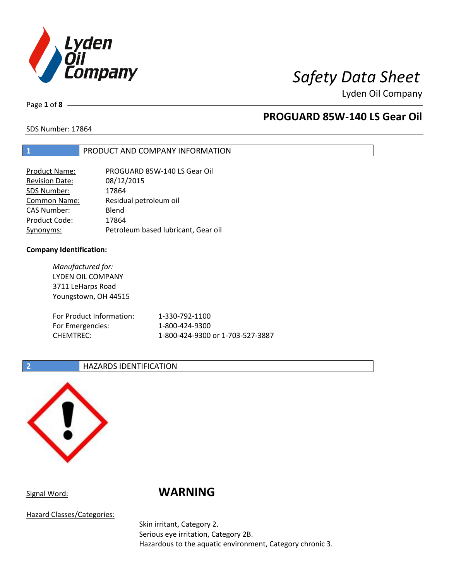

Page **1** of **8**

## **PROGUARD 85W-140 LS Gear Oil**

SDS Number: 17864

## **1** PRODUCT AND COMPANY INFORMATION

| Product Name:         | PROGUARD 85W-140 LS Gear Oil        |
|-----------------------|-------------------------------------|
| <b>Revision Date:</b> | 08/12/2015                          |
| SDS Number:           | 17864                               |
| <b>Common Name:</b>   | Residual petroleum oil              |
| <b>CAS Number:</b>    | Blend                               |
| Product Code:         | 17864                               |
| Synonyms:             | Petroleum based lubricant, Gear oil |

### **Company Identification:**

*Manufactured for:* LYDEN OIL COMPANY 3711 LeHarps Road Youngstown, OH 44515 For Product Information: 1-330-792-1100 For Emergencies: 1-800-424-9300 CHEMTREC: 1-800-424-9300 or 1-703-527-3887

### **2 HAZARDS IDENTIFICATION**



## Signal Word: **WARNING**

Hazard Classes/Categories:

Skin irritant, Category 2. Serious eye irritation, Category 2B. Hazardous to the aquatic environment, Category chronic 3.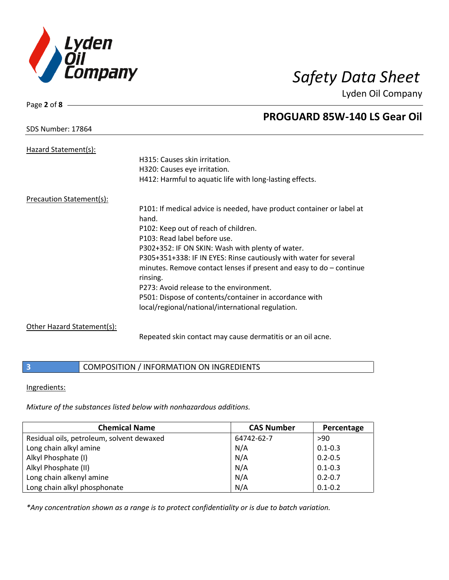

## SDS Number: 17864

Page **2** of **8**

## **PROGUARD 85W-140 LS Gear Oil**

| Hazard Statement(s):       |                                                                                                                                                        |
|----------------------------|--------------------------------------------------------------------------------------------------------------------------------------------------------|
|                            | H315: Causes skin irritation.                                                                                                                          |
|                            | H320: Causes eye irritation.                                                                                                                           |
|                            | H412: Harmful to aquatic life with long-lasting effects.                                                                                               |
| Precaution Statement(s):   |                                                                                                                                                        |
|                            | P101: If medical advice is needed, have product container or label at<br>hand.                                                                         |
|                            | P102: Keep out of reach of children.                                                                                                                   |
|                            | P103: Read label before use.                                                                                                                           |
|                            | P302+352: IF ON SKIN: Wash with plenty of water.                                                                                                       |
|                            | P305+351+338: IF IN EYES: Rinse cautiously with water for several<br>minutes. Remove contact lenses if present and easy to $do$ – continue<br>rinsing. |
|                            | P273: Avoid release to the environment.                                                                                                                |
|                            | P501: Dispose of contents/container in accordance with                                                                                                 |
|                            | local/regional/national/international regulation.                                                                                                      |
| Other Hazard Statement(s): |                                                                                                                                                        |
|                            | Repeated skin contact may cause dermatitis or an oil acne.                                                                                             |

## **3** COMPOSITION / INFORMATION ON INGREDIENTS

### Ingredients:

*Mixture of the substances listed below with nonhazardous additions.*

| <b>Chemical Name</b>                      | <b>CAS Number</b> | Percentage  |
|-------------------------------------------|-------------------|-------------|
| Residual oils, petroleum, solvent dewaxed | 64742-62-7        | >90         |
| Long chain alkyl amine                    | N/A               | $0.1 - 0.3$ |
| Alkyl Phosphate (I)                       | N/A               | $0.2 - 0.5$ |
| Alkyl Phosphate (II)                      | N/A               | $0.1 - 0.3$ |
| Long chain alkenyl amine                  | N/A               | $0.2 - 0.7$ |
| Long chain alkyl phosphonate              | N/A               | $0.1 - 0.2$ |

*\*Any concentration shown as a range is to protect confidentiality or is due to batch variation.*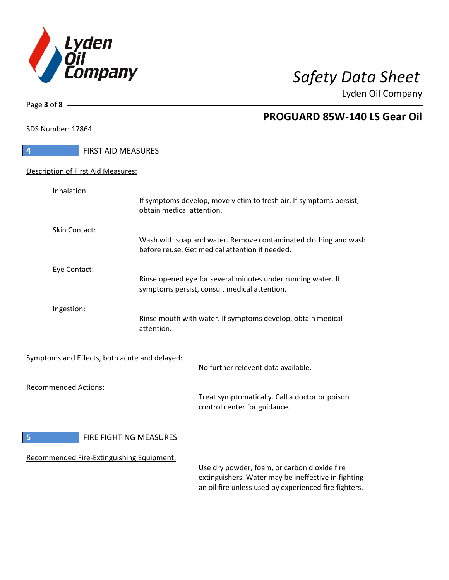

٦

Page **3** of **8**

## **PROGUARD 85W-140 LS Gear Oil**

SDS Number: 17864

| <b>FIRST AID MEASURES</b><br>$\overline{\mathbf{r}}$ |                                                                                                                                                              |
|------------------------------------------------------|--------------------------------------------------------------------------------------------------------------------------------------------------------------|
| Description of First Aid Measures:                   |                                                                                                                                                              |
| Inhalation:                                          | If symptoms develop, move victim to fresh air. If symptoms persist,<br>obtain medical attention.                                                             |
| <b>Skin Contact:</b>                                 | Wash with soap and water. Remove contaminated clothing and wash<br>before reuse. Get medical attention if needed.                                            |
| Eye Contact:                                         | Rinse opened eye for several minutes under running water. If<br>symptoms persist, consult medical attention.                                                 |
| Ingestion:                                           | Rinse mouth with water. If symptoms develop, obtain medical<br>attention.                                                                                    |
| Symptoms and Effects, both acute and delayed:        | No further relevent data available.                                                                                                                          |
| <b>Recommended Actions:</b>                          | Treat symptomatically. Call a doctor or poison<br>control center for guidance.                                                                               |
| 5<br>FIRE FIGHTING MEASURES                          |                                                                                                                                                              |
| Recommended Fire-Extinguishing Equipment:            | Use dry powder, foam, or carbon dioxide fire<br>extinguishers. Water may be ineffective in fighting<br>an oil fire unless used by experienced fire fighters. |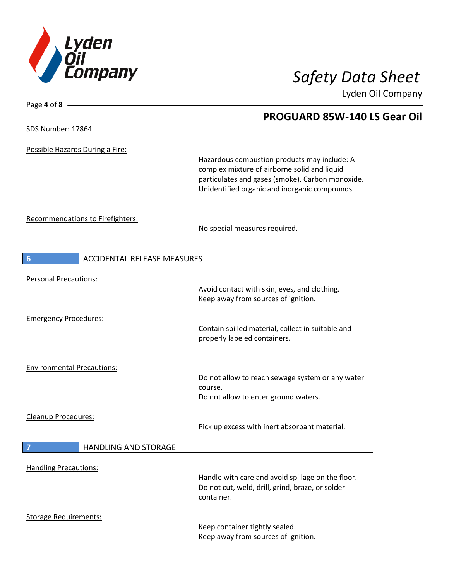

**PROGUARD 85W-140 LS Gear Oil**

Lyden Oil Company

SDS Number: 17864

Page **4** of **8**

Possible Hazards During a Fire:

Hazardous combustion products may include: A complex mixture of airborne solid and liquid particulates and gases (smoke). Carbon monoxide. Unidentified organic and inorganic compounds.

Recommendations to Firefighters:

No special measures required.

| $6\phantom{1}6$                   | <b>ACCIDENTAL RELEASE MEASURES</b> |                                                                                                                     |
|-----------------------------------|------------------------------------|---------------------------------------------------------------------------------------------------------------------|
| <b>Personal Precautions:</b>      |                                    | Avoid contact with skin, eyes, and clothing.<br>Keep away from sources of ignition.                                 |
|                                   |                                    |                                                                                                                     |
| <b>Emergency Procedures:</b>      |                                    | Contain spilled material, collect in suitable and<br>properly labeled containers.                                   |
| <b>Environmental Precautions:</b> |                                    |                                                                                                                     |
|                                   |                                    | Do not allow to reach sewage system or any water<br>course.                                                         |
|                                   |                                    | Do not allow to enter ground waters.                                                                                |
| Cleanup Procedures:               |                                    | Pick up excess with inert absorbant material.                                                                       |
| 7                                 | <b>HANDLING AND STORAGE</b>        |                                                                                                                     |
| <b>Handling Precautions:</b>      |                                    | Handle with care and avoid spillage on the floor.<br>Do not cut, weld, drill, grind, braze, or solder<br>container. |
| <b>Storage Requirements:</b>      |                                    |                                                                                                                     |
|                                   |                                    | Keep container tightly sealed.<br>Keep away from sources of ignition.                                               |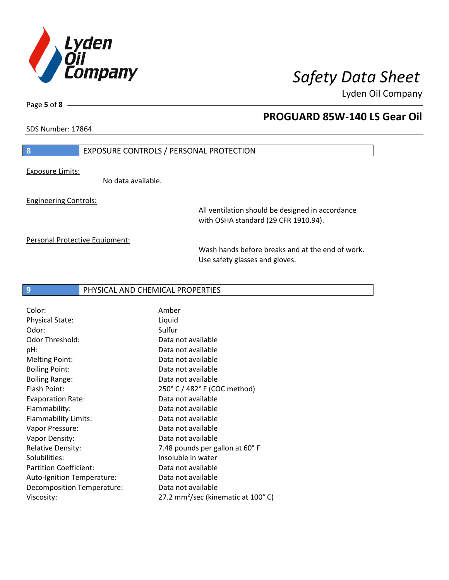

Page **5** of **8**

## **PROGUARD 85W-140 LS Gear Oil**

SDS Number: 17864

### **8** EXPOSURE CONTROLS / PERSONAL PROTECTION

Exposure Limits:

No data available.

Engineering Controls:

All ventilation should be designed in accordance with OSHA standard (29 CFR 1910.94).

Personal Protective Equipment:

Wash hands before breaks and at the end of work. Use safety glasses and gloves.

### **9** PHYSICAL AND CHEMICAL PROPERTIES

| Color:                        | Amber                                          |
|-------------------------------|------------------------------------------------|
| <b>Physical State:</b>        | Liquid                                         |
| Odor:                         | Sulfur                                         |
| Odor Threshold:               | Data not available                             |
| pH:                           | Data not available                             |
| <b>Melting Point:</b>         | Data not available                             |
| <b>Boiling Point:</b>         | Data not available                             |
| <b>Boiling Range:</b>         | Data not available                             |
| Flash Point:                  | 250° C / 482° F (COC method)                   |
| <b>Evaporation Rate:</b>      | Data not available                             |
| Flammability:                 | Data not available                             |
| Flammability Limits:          | Data not available                             |
| Vapor Pressure:               | Data not available                             |
| Vapor Density:                | Data not available                             |
| <b>Relative Density:</b>      | 7.48 pounds per gallon at 60°F                 |
| Solubilities:                 | Insoluble in water                             |
| <b>Partition Coefficient:</b> | Data not available                             |
| Auto-Ignition Temperature:    | Data not available                             |
| Decomposition Temperature:    | Data not available                             |
| Viscosity:                    | 27.2 mm <sup>2</sup> /sec (kinematic at 100°C) |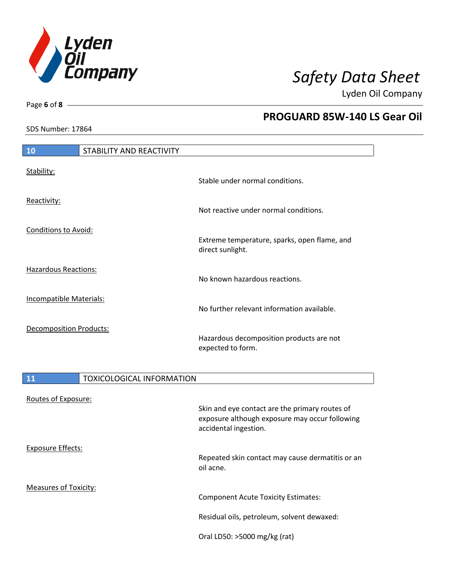

Page **6** of **8**

I

 $\overline{\phantom{a}}$ 

## **PROGUARD 85W-140 LS Gear Oil**

SDS Number: 17864

| 10                             | STABILITY AND REACTIVITY |                                                                  |
|--------------------------------|--------------------------|------------------------------------------------------------------|
| Stability:                     |                          | Stable under normal conditions.                                  |
| Reactivity:                    |                          | Not reactive under normal conditions.                            |
| <b>Conditions to Avoid:</b>    |                          | Extreme temperature, sparks, open flame, and<br>direct sunlight. |
| <b>Hazardous Reactions:</b>    |                          | No known hazardous reactions.                                    |
| Incompatible Materials:        |                          | No further relevant information available.                       |
| <b>Decomposition Products:</b> |                          | Hazardous decomposition products are not<br>expected to form.    |

| 11                           | <b>TOXICOLOGICAL INFORMATION</b> |                                                                                                                           |
|------------------------------|----------------------------------|---------------------------------------------------------------------------------------------------------------------------|
| Routes of Exposure:          |                                  | Skin and eye contact are the primary routes of<br>exposure although exposure may occur following<br>accidental ingestion. |
| Exposure Effects:            |                                  | Repeated skin contact may cause dermatitis or an<br>oil acne.                                                             |
| <b>Measures of Toxicity:</b> |                                  | Component Acute Toxicity Estimates:<br>Residual oils, petroleum, solvent dewaxed:<br>Oral LD50: >5000 mg/kg (rat)         |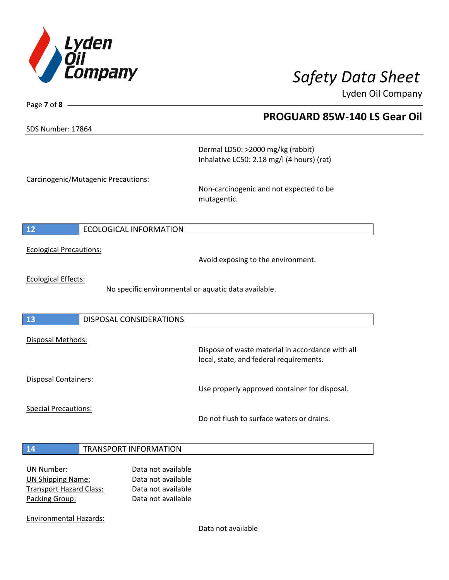

SDS Number: 17864

Page **7** of **8**

**PROGUARD 85W-140 LS Gear Oil**

Dermal LD50: >2000 mg/kg (rabbit) Inhalative LC50: 2.18 mg/l (4 hours) (rat)

Carcinogenic/Mutagenic Precautions:

Non-carcinogenic and not expected to be mutagentic.

## **12** ECOLOGICAL INFORMATION

Ecological Precautions:

Avoid exposing to the environment.

Ecological Effects:

No specific environmental or aquatic data available.

### **13** DISPOSAL CONSIDERATIONS

Disposal Methods:

Disposal Containers:

Use properly approved container for disposal.

Dispose of waste material in accordance with all

Special Precautions:

Do not flush to surface waters or drains.

local, state, and federal requirements.

### **14** TRANSPORT INFORMATION

| Data not available |
|--------------------|
| Data not available |
| Data not available |
| Data not available |
|                    |

Environmental Hazards:

Data not available